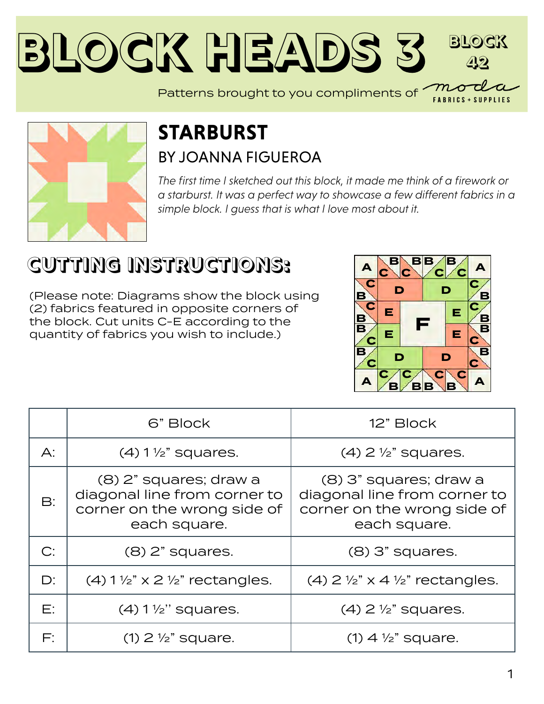#### **Block Heads [3](https://modafabrics.com) Block 42** Patterns brought to you compliments of *mo*



## **STARBURST** BY [JOANNA FIGUEROA](https://modafabrics.com/designers/fig-tree-co)

*The first time I sketched out this block, it made me think of a firework or a starburst. It was a perfect way to showcase a few different fabrics in a simple block. I guess that is what I love most about it.*

## **CUTTING INSTRUCTIONS:**

(Please note: Diagrams show the block using (2) fabrics featured in opposite corners of the block. Cut units C-E according to the quantity of fabrics you wish to include.)



**FABRICS + SUPPLIES** 

|                | 6" Block                                                                                              | 12" Block                                                                                             |
|----------------|-------------------------------------------------------------------------------------------------------|-------------------------------------------------------------------------------------------------------|
| $\bigwedge$ :  | $(4)$ 1 $\frac{1}{2}$ squares.                                                                        | $(4)$ 2 $\frac{1}{2}$ " squares.                                                                      |
| $\mathsf{B}$ : | (8) 2" squares; draw a<br>diagonal line from corner to<br>corner on the wrong side of<br>each square. | (8) 3" squares; draw a<br>diagonal line from corner to<br>corner on the wrong side of<br>each square. |
| C:             | $(8)$ 2" squares.                                                                                     | $(8)$ 3" squares.                                                                                     |
| $D$ :          | $(4)$ 1 $\frac{1}{2}$ x 2 $\frac{1}{2}$ rectangles.                                                   | (4) $2\frac{1}{2}$ x 4 $\frac{1}{2}$ rectangles.                                                      |
| Е:             | $(4) 1 \frac{1}{2}$ " squares.                                                                        | $(4)$ 2 $\frac{1}{2}$ " squares.                                                                      |
| F:             | $(1)$ 2 $\frac{1}{2}$ " square.                                                                       | $(1)$ 4 $\frac{1}{2}$ " square.                                                                       |